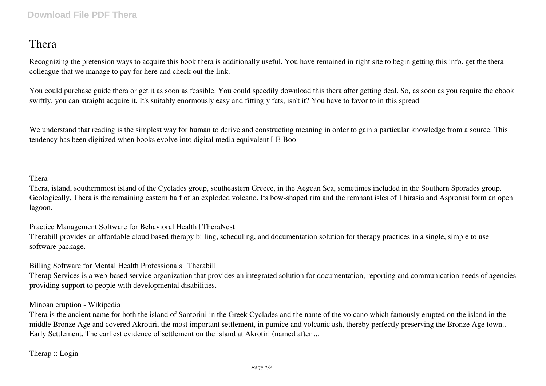## **Thera**

Recognizing the pretension ways to acquire this book **thera** is additionally useful. You have remained in right site to begin getting this info. get the thera colleague that we manage to pay for here and check out the link.

You could purchase guide thera or get it as soon as feasible. You could speedily download this thera after getting deal. So, as soon as you require the ebook swiftly, you can straight acquire it. It's suitably enormously easy and fittingly fats, isn't it? You have to favor to in this spread

We understand that reading is the simplest way for human to derive and constructing meaning in order to gain a particular knowledge from a source. This tendency has been digitized when books evolve into digital media equivalent  $\mathbb{I}$  E-Boo

## **Thera**

Thera, island, southernmost island of the Cyclades group, southeastern Greece, in the Aegean Sea, sometimes included in the Southern Sporades group. Geologically, Thera is the remaining eastern half of an exploded volcano. Its bow-shaped rim and the remnant isles of Thirasia and Aspronisi form an open lagoon.

**Practice Management Software for Behavioral Health | TheraNest** Therabill provides an affordable cloud based therapy billing, scheduling, and documentation solution for therapy practices in a single, simple to use software package.

**Billing Software for Mental Health Professionals | Therabill**

Therap Services is a web-based service organization that provides an integrated solution for documentation, reporting and communication needs of agencies providing support to people with developmental disabilities.

## **Minoan eruption - Wikipedia**

Thera is the ancient name for both the island of Santorini in the Greek Cyclades and the name of the volcano which famously erupted on the island in the middle Bronze Age and covered Akrotiri, the most important settlement, in pumice and volcanic ash, thereby perfectly preserving the Bronze Age town.. Early Settlement. The earliest evidence of settlement on the island at Akrotiri (named after ...

**Therap :: Login**